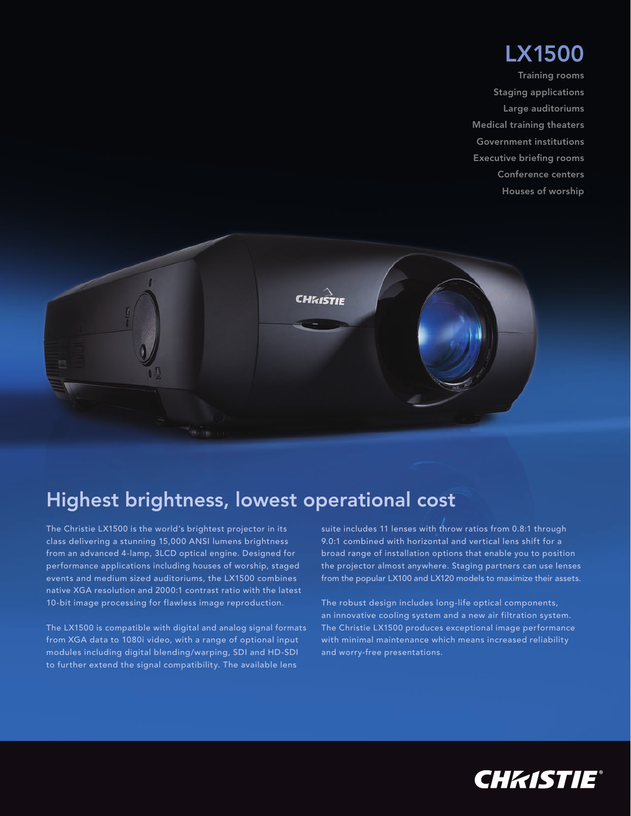## LX1500

Training rooms Staging applications Large auditoriums Medical training theaters Government institutions Executive briefing rooms Conference centers Houses of worship



## Highest brightness, lowest operational cost

The Christie LX1500 is the world's brightest projector in its class delivering a stunning 15,000 ANSI lumens brightness from an advanced 4-lamp, 3LCD optical engine. Designed for performance applications including houses of worship, staged events and medium sized auditoriums, the LX1500 combines native XGA resolution and 2000:1 contrast ratio with the latest 10-bit image processing for flawless image reproduction.

The LX1500 is compatible with digital and analog signal formats from XGA data to 1080i video, with a range of optional input modules including digital blending/warping, SDI and HD-SDI to further extend the signal compatibility. The available lens

suite includes 11 lenses with throw ratios from 0.8:1 through 9.0:1 combined with horizontal and vertical lens shift for a broad range of installation options that enable you to position the projector almost anywhere. Staging partners can use lenses from the popular LX100 and LX120 models to maximize their assets.

The robust design includes long-life optical components, an innovative cooling system and a new air filtration system. The Christie LX1500 produces exceptional image performance with minimal maintenance which means increased reliability and worry-free presentations.